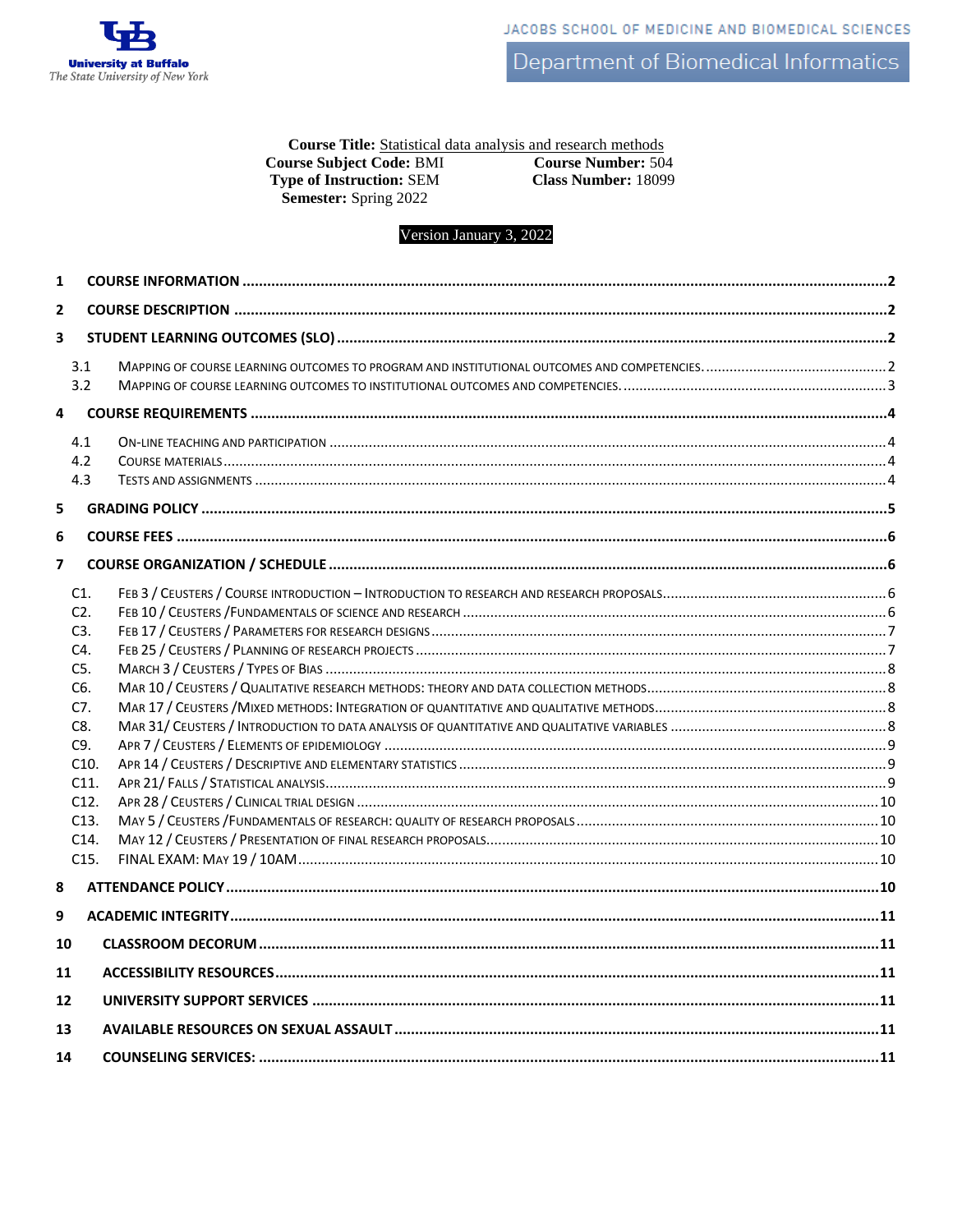

Course Title: Statistical data analysis and research methods **Course Subject Code: BMI Course Number: 504 Type of Instruction: SEM Class Number: 18099** Semester: Spring 2022

Version January 3, 2022

| 1              |                                                                                                                |  |
|----------------|----------------------------------------------------------------------------------------------------------------|--|
| $\overline{2}$ |                                                                                                                |  |
| 3              |                                                                                                                |  |
|                | 3.1<br>3.2                                                                                                     |  |
| 4              |                                                                                                                |  |
|                | 4.1<br>4.2<br>4.3                                                                                              |  |
| 5              |                                                                                                                |  |
| 6              |                                                                                                                |  |
| $\overline{7}$ |                                                                                                                |  |
|                | C1.<br>C2.<br>C3.<br>C4.<br>$C5$ .<br>C6.<br>C7.<br>C8.<br>C9.<br>C10.<br>C11.<br>C12.<br>C13.<br>C14.<br>C15. |  |
| 8              |                                                                                                                |  |
| 9              |                                                                                                                |  |
| 10             |                                                                                                                |  |
| 11             |                                                                                                                |  |
| 12             |                                                                                                                |  |
| 13             |                                                                                                                |  |
| 14             |                                                                                                                |  |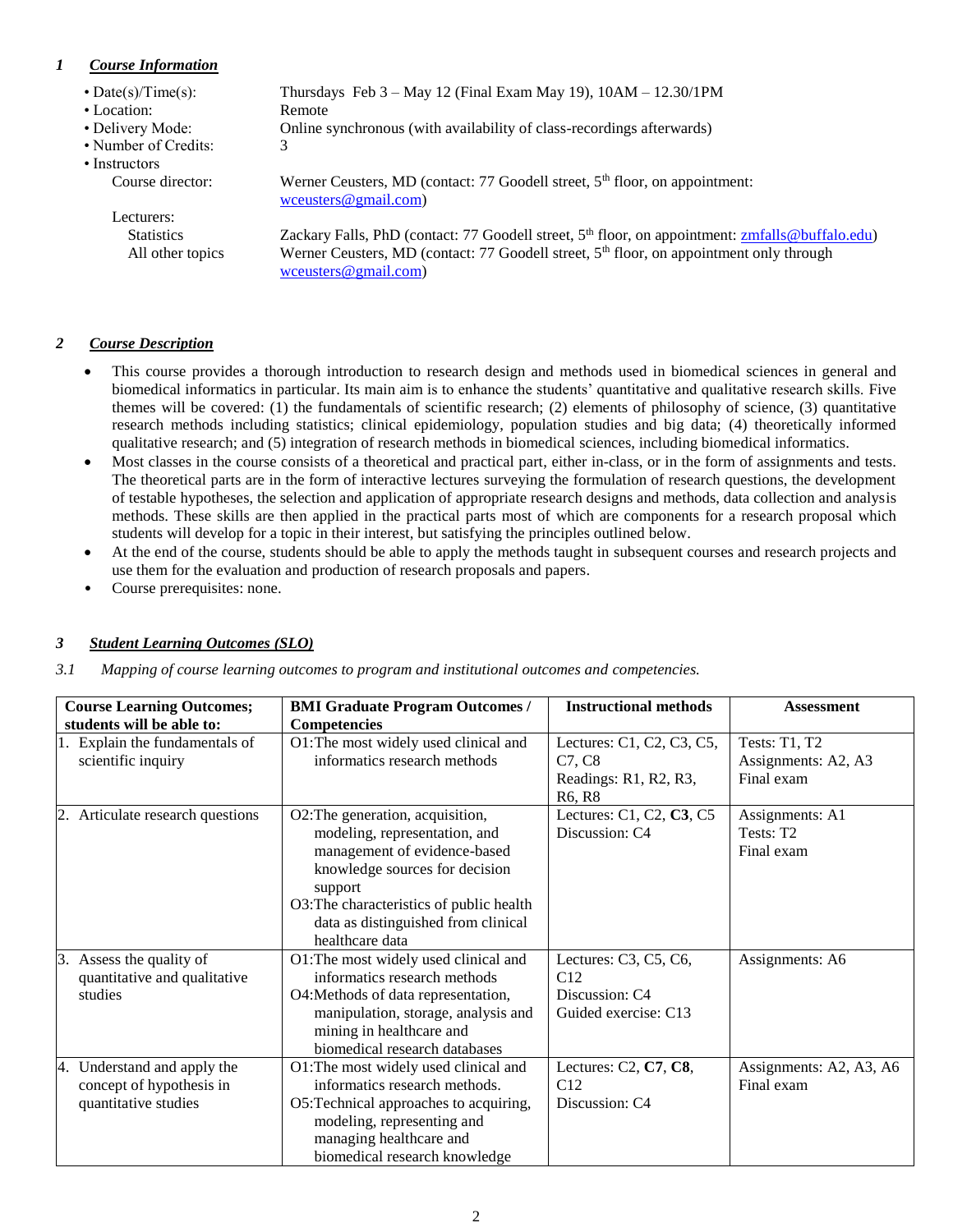# <span id="page-1-0"></span>*1 Course Information*

| • Date(s)/Time(s):   | Thursdays Feb $3 -$ May 12 (Final Exam May 19), $10AM - 12.30/1PM$                                                          |
|----------------------|-----------------------------------------------------------------------------------------------------------------------------|
| • Location:          | Remote                                                                                                                      |
| • Delivery Mode:     | Online synchronous (with availability of class-recordings afterwards)                                                       |
| • Number of Credits: | 3                                                                                                                           |
| • Instructors        |                                                                                                                             |
| Course director:     | Werner Ceusters, MD (contact: 77 Goodell street, $5th$ floor, on appointment:<br>wceusters@gmail.com)                       |
| Lecturers:           |                                                                                                                             |
| <b>Statistics</b>    | Zackary Falls, PhD (contact: 77 Goodell street, 5 <sup>th</sup> floor, on appointment: zmfalls@buffalo.edu)                 |
| All other topics     | Werner Ceusters, MD (contact: 77 Goodell street, 5 <sup>th</sup> floor, on appointment only through<br>wceusters@gmail.com) |
|                      |                                                                                                                             |

## <span id="page-1-1"></span>*2 Course Description*

- This course provides a thorough introduction to research design and methods used in biomedical sciences in general and biomedical informatics in particular. Its main aim is to enhance the students' quantitative and qualitative research skills. Five themes will be covered: (1) the fundamentals of scientific research; (2) elements of philosophy of science, (3) quantitative research methods including statistics; clinical epidemiology, population studies and big data; (4) theoretically informed qualitative research; and (5) integration of research methods in biomedical sciences, including biomedical informatics.
- Most classes in the course consists of a theoretical and practical part, either in-class, or in the form of assignments and tests. The theoretical parts are in the form of interactive lectures surveying the formulation of research questions, the development of testable hypotheses, the selection and application of appropriate research designs and methods, data collection and analysis methods. These skills are then applied in the practical parts most of which are components for a research proposal which students will develop for a topic in their interest, but satisfying the principles outlined below.
- At the end of the course, students should be able to apply the methods taught in subsequent courses and research projects and use them for the evaluation and production of research proposals and papers.
- Course prerequisites: none.

# <span id="page-1-2"></span>*3 Student Learning Outcomes (SLO)*

<span id="page-1-3"></span>*3.1 Mapping of course learning outcomes to program and institutional outcomes and competencies.*

| <b>Course Learning Outcomes;</b>                                                   | <b>BMI Graduate Program Outcomes /</b>                                                                                                                                                                                                               | <b>Instructional methods</b>                                                                    | <b>Assessment</b>                                         |
|------------------------------------------------------------------------------------|------------------------------------------------------------------------------------------------------------------------------------------------------------------------------------------------------------------------------------------------------|-------------------------------------------------------------------------------------------------|-----------------------------------------------------------|
| students will be able to:                                                          | <b>Competencies</b>                                                                                                                                                                                                                                  |                                                                                                 |                                                           |
| 1. Explain the fundamentals of<br>scientific inquiry                               | O1: The most widely used clinical and<br>informatics research methods                                                                                                                                                                                | Lectures: C1, C2, C3, C5,<br>C7, C8<br>Readings: R1, R2, R3,<br>R <sub>6</sub> , R <sub>8</sub> | <b>Tests: T1, T2</b><br>Assignments: A2, A3<br>Final exam |
| 2. Articulate research questions                                                   | O2: The generation, acquisition,<br>modeling, representation, and<br>management of evidence-based<br>knowledge sources for decision<br>support<br>O3: The characteristics of public health<br>data as distinguished from clinical<br>healthcare data | Lectures: C1, C2, C3, C5<br>Discussion: C4                                                      | Assignments: A1<br>Tests: T <sub>2</sub><br>Final exam    |
| 3.<br>Assess the quality of<br>quantitative and qualitative<br>studies             | O1: The most widely used clinical and<br>informatics research methods<br>O4: Methods of data representation,<br>manipulation, storage, analysis and<br>mining in healthcare and<br>biomedical research databases                                     | Lectures: C3, C5, C6,<br>C12<br>Discussion: C4<br>Guided exercise: C13                          | Assignments: A6                                           |
| Understand and apply the<br>4.<br>concept of hypothesis in<br>quantitative studies | O1: The most widely used clinical and<br>informatics research methods.<br>O5: Technical approaches to acquiring,<br>modeling, representing and<br>managing healthcare and<br>biomedical research knowledge                                           | Lectures: C2, C7, C8,<br>C12<br>Discussion: C4                                                  | Assignments: A2, A3, A6<br>Final exam                     |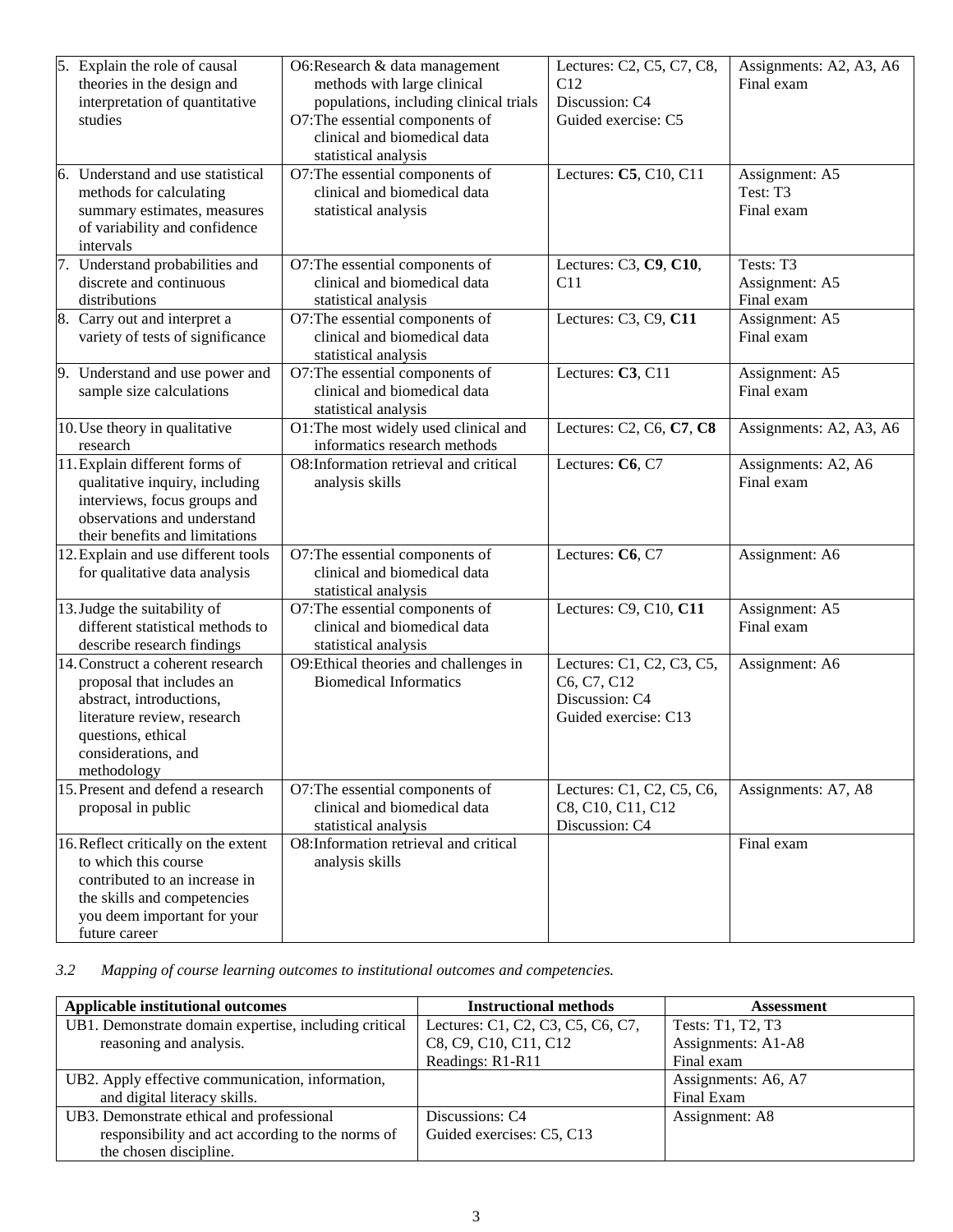| 5. Explain the role of causal<br>theories in the design and<br>interpretation of quantitative<br>studies                                                                              | O6:Research & data management<br>methods with large clinical<br>populations, including clinical trials<br>O7: The essential components of<br>clinical and biomedical data<br>statistical analysis | Lectures: C2, C5, C7, C8,<br>C12<br>Discussion: C4<br>Guided exercise: C5          | Assignments: A2, A3, A6<br>Final exam     |
|---------------------------------------------------------------------------------------------------------------------------------------------------------------------------------------|---------------------------------------------------------------------------------------------------------------------------------------------------------------------------------------------------|------------------------------------------------------------------------------------|-------------------------------------------|
| 6. Understand and use statistical<br>methods for calculating<br>summary estimates, measures<br>of variability and confidence<br>intervals                                             | O7: The essential components of<br>clinical and biomedical data<br>statistical analysis                                                                                                           | Lectures: C5, C10, C11                                                             | Assignment: A5<br>Test: T3<br>Final exam  |
| 7. Understand probabilities and<br>discrete and continuous<br>distributions                                                                                                           | O7: The essential components of<br>clinical and biomedical data<br>statistical analysis                                                                                                           | Lectures: C3, C9, C10,<br>C11                                                      | Tests: T3<br>Assignment: A5<br>Final exam |
| 8. Carry out and interpret a<br>variety of tests of significance                                                                                                                      | O7: The essential components of<br>clinical and biomedical data<br>statistical analysis                                                                                                           | Lectures: C3, C9, C11                                                              | Assignment: A5<br>Final exam              |
| 9. Understand and use power and<br>sample size calculations                                                                                                                           | O7: The essential components of<br>clinical and biomedical data<br>statistical analysis                                                                                                           | Lectures: C3, C11                                                                  | Assignment: A5<br>Final exam              |
| 10. Use theory in qualitative<br>research                                                                                                                                             | O1: The most widely used clinical and<br>informatics research methods                                                                                                                             | Lectures: C2, C6, C7, C8                                                           | Assignments: A2, A3, A6                   |
| 11. Explain different forms of<br>qualitative inquiry, including<br>interviews, focus groups and<br>observations and understand<br>their benefits and limitations                     | O8:Information retrieval and critical<br>analysis skills                                                                                                                                          | Lectures: C6, C7                                                                   | Assignments: A2, A6<br>Final exam         |
| 12. Explain and use different tools<br>for qualitative data analysis                                                                                                                  | O7: The essential components of<br>clinical and biomedical data<br>statistical analysis                                                                                                           | Lectures: C6, C7                                                                   | Assignment: A6                            |
| 13. Judge the suitability of<br>different statistical methods to<br>describe research findings                                                                                        | O7: The essential components of<br>clinical and biomedical data<br>statistical analysis                                                                                                           | Lectures: C9, C10, C11                                                             | Assignment: A5<br>Final exam              |
| 14. Construct a coherent research<br>proposal that includes an<br>abstract, introductions,<br>literature review, research<br>questions, ethical<br>considerations, and<br>methodology | O9: Ethical theories and challenges in<br><b>Biomedical Informatics</b>                                                                                                                           | Lectures: C1, C2, C3, C5,<br>C6, C7, C12<br>Discussion: C4<br>Guided exercise: C13 | Assignment: A6                            |
| 15. Present and defend a research<br>proposal in public                                                                                                                               | O7: The essential components of<br>clinical and biomedical data<br>statistical analysis                                                                                                           | Lectures: C1, C2, C5, C6,<br>C8, C10, C11, C12<br>Discussion: C4                   | Assignments: A7, A8                       |
| 16. Reflect critically on the extent<br>to which this course<br>contributed to an increase in<br>the skills and competencies<br>you deem important for your<br>future career          | O8: Information retrieval and critical<br>analysis skills                                                                                                                                         |                                                                                    | Final exam                                |

<span id="page-2-0"></span>*3.2 Mapping of course learning outcomes to institutional outcomes and competencies.*

| Applicable institutional outcomes                     | <b>Instructional methods</b>      | Assessment          |
|-------------------------------------------------------|-----------------------------------|---------------------|
| UB1. Demonstrate domain expertise, including critical | Lectures: C1, C2, C3, C5, C6, C7, | Tests: T1, T2, T3   |
| reasoning and analysis.                               | C8, C9, C10, C11, C12             | Assignments: A1-A8  |
|                                                       | Readings: R1-R11                  | Final exam          |
| UB2. Apply effective communication, information,      |                                   | Assignments: A6, A7 |
| and digital literacy skills.                          |                                   | Final Exam          |
| UB3. Demonstrate ethical and professional             | Discussions: C4                   | Assignment: A8      |
| responsibility and act according to the norms of      | Guided exercises: C5, C13         |                     |
| the chosen discipline.                                |                                   |                     |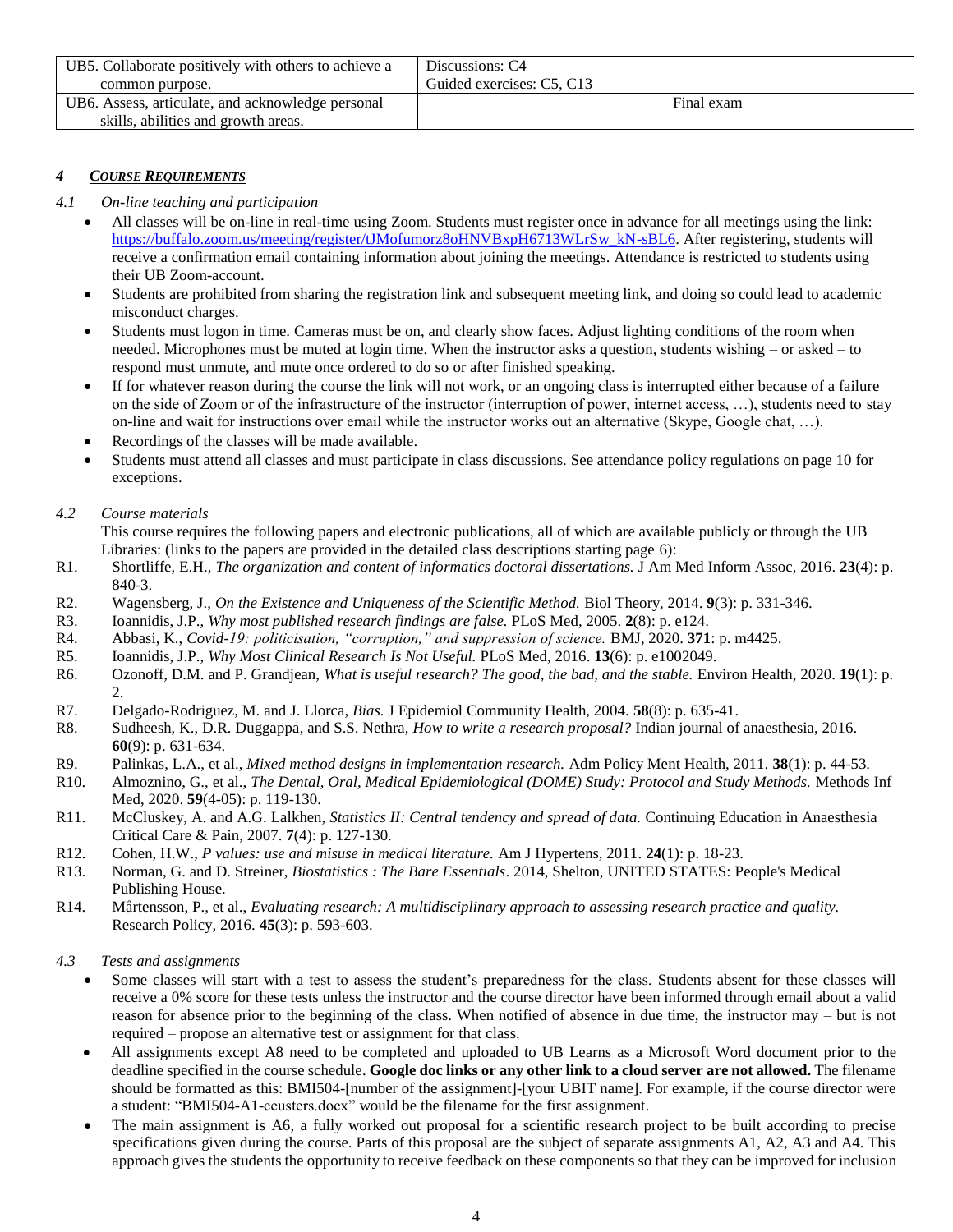| UB5. Collaborate positively with others to achieve a | Discussions: C4           |            |
|------------------------------------------------------|---------------------------|------------|
| common purpose.                                      | Guided exercises: C5, C13 |            |
| UB6. Assess, articulate, and acknowledge personal    |                           | Final exam |
| skills, abilities and growth areas.                  |                           |            |

# <span id="page-3-0"></span>*4 COURSE REQUIREMENTS*

### <span id="page-3-1"></span>*4.1 On-line teaching and participation*

- All classes will be on-line in real-time using Zoom. Students must register once in advance for all meetings using the link: [https://buffalo.zoom.us/meeting/register/tJMofumorz8oHNVBxpH6713WLrSw\\_kN-sBL6.](https://buffalo.zoom.us/meeting/register/tJMofumorz8oHNVBxpH6713WLrSw_kN-sBL6) After registering, students will receive a confirmation email containing information about joining the meetings. Attendance is restricted to students using their UB Zoom-account.
- Students are prohibited from sharing the registration link and subsequent meeting link, and doing so could lead to academic misconduct charges.
- Students must logon in time. Cameras must be on, and clearly show faces. Adjust lighting conditions of the room when needed. Microphones must be muted at login time. When the instructor asks a question, students wishing – or asked – to respond must unmute, and mute once ordered to do so or after finished speaking.
- If for whatever reason during the course the link will not work, or an ongoing class is interrupted either because of a failure on the side of Zoom or of the infrastructure of the instructor (interruption of power, internet access, …), students need to stay on-line and wait for instructions over email while the instructor works out an alternative (Skype, Google chat, …).
- Recordings of the classes will be made available.
- Students must attend all classes and must participate in class discussions. See attendance policy regulations [on page 10](#page-9-4) for exceptions.

### <span id="page-3-2"></span>*4.2 Course materials*

- This course requires the following papers and electronic publications, all of which are available publicly or through the UB Libraries: (links to the papers are provided in the detailed class descriptions starting page [6\)](#page-5-1):
- R1. Shortliffe, E.H., *The organization and content of informatics doctoral dissertations.* J Am Med Inform Assoc, 2016. **23**(4): p. 840-3.
- R2. Wagensberg, J., *On the Existence and Uniqueness of the Scientific Method.* Biol Theory, 2014. **9**(3): p. 331-346.
- R3. Ioannidis, J.P., *Why most published research findings are false.* PLoS Med, 2005. **2**(8): p. e124.
- R4. Abbasi, K., *Covid-19: politicisation, "corruption," and suppression of science.* BMJ, 2020. **371**: p. m4425.
- R5. Ioannidis, J.P., *Why Most Clinical Research Is Not Useful.* PLoS Med, 2016. **13**(6): p. e1002049.
- R6. Ozonoff, D.M. and P. Grandjean, *What is useful research? The good, the bad, and the stable.* Environ Health, 2020. **19**(1): p. 2.
- R7. Delgado-Rodriguez, M. and J. Llorca, *Bias.* J Epidemiol Community Health, 2004. **58**(8): p. 635-41.
- R8. Sudheesh, K., D.R. Duggappa, and S.S. Nethra, *How to write a research proposal?* Indian journal of anaesthesia, 2016. **60**(9): p. 631-634.
- R9. Palinkas, L.A., et al., *Mixed method designs in implementation research.* Adm Policy Ment Health, 2011. **38**(1): p. 44-53.
- R10. Almoznino, G., et al., *The Dental, Oral, Medical Epidemiological (DOME) Study: Protocol and Study Methods.* Methods Inf Med, 2020. **59**(4-05): p. 119-130.
- R11. McCluskey, A. and A.G. Lalkhen, *Statistics II: Central tendency and spread of data.* Continuing Education in Anaesthesia Critical Care & Pain, 2007. **7**(4): p. 127-130.
- R12. Cohen, H.W., *P values: use and misuse in medical literature.* Am J Hypertens, 2011. **24**(1): p. 18-23.
- R13. Norman, G. and D. Streiner, *Biostatistics : The Bare Essentials*. 2014, Shelton, UNITED STATES: People's Medical Publishing House.
- R14. Mårtensson, P., et al., *Evaluating research: A multidisciplinary approach to assessing research practice and quality.* Research Policy, 2016. **45**(3): p. 593-603.

## <span id="page-3-3"></span>*4.3 Tests and assignments*

- Some classes will start with a test to assess the student's preparedness for the class. Students absent for these classes will receive a 0% score for these tests unless the instructor and the course director have been informed through email about a valid reason for absence prior to the beginning of the class. When notified of absence in due time, the instructor may – but is not required – propose an alternative test or assignment for that class.
- All assignments except A8 need to be completed and uploaded to UB Learns as a Microsoft Word document prior to the deadline specified in the course schedule. **Google doc links or any other link to a cloud server are not allowed.** The filename should be formatted as this: BMI504-[number of the assignment]-[your UBIT name]. For example, if the course director were a student: "BMI504-A1-ceusters.docx" would be the filename for the first assignment.
- The main assignment is A6, a fully worked out proposal for a scientific research project to be built according to precise specifications given during the course. Parts of this proposal are the subject of separate assignments A1, A2, A3 and A4. This approach gives the students the opportunity to receive feedback on these components so that they can be improved for inclusion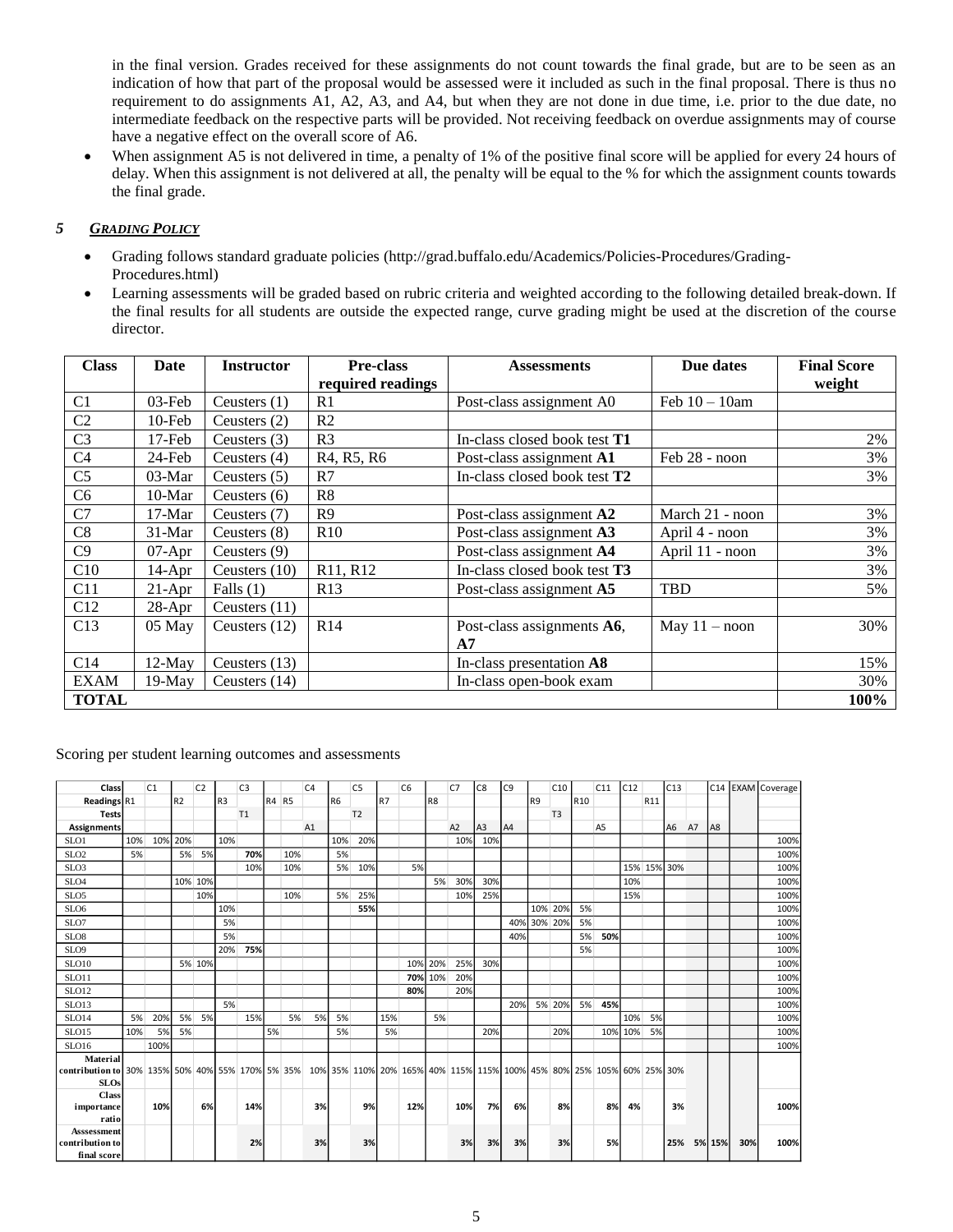in the final version. Grades received for these assignments do not count towards the final grade, but are to be seen as an indication of how that part of the proposal would be assessed were it included as such in the final proposal. There is thus no requirement to do assignments A1, A2, A3, and A4, but when they are not done in due time, i.e. prior to the due date, no intermediate feedback on the respective parts will be provided. Not receiving feedback on overdue assignments may of course have a negative effect on the overall score of A6.

When assignment A5 is not delivered in time, a penalty of 1% of the positive final score will be applied for every 24 hours of delay. When this assignment is not delivered at all, the penalty will be equal to the % for which the assignment counts towards the final grade.

## <span id="page-4-0"></span>*5 GRADING POLICY*

- Grading follows standard graduate policies (http://grad.buffalo.edu/Academics/Policies-Procedures/Grading-Procedures.html)
- Learning assessments will be graded based on rubric criteria and weighted according to the following detailed break-down. If the final results for all students are outside the expected range, curve grading might be used at the discretion of the course director.

| <b>Class</b>    | Date      | <b>Instructor</b> | <b>Pre-class</b>                                 | <b>Assessments</b>                  | Due dates        | <b>Final Score</b> |
|-----------------|-----------|-------------------|--------------------------------------------------|-------------------------------------|------------------|--------------------|
|                 |           |                   | required readings                                |                                     |                  | weight             |
| C <sub>1</sub>  | $03$ -Feb | Ceusters $(1)$    | R1                                               | Post-class assignment A0            | Feb $10 - 10$ am |                    |
| C <sub>2</sub>  | $10$ -Feb | Ceusters $(2)$    | R <sub>2</sub>                                   |                                     |                  |                    |
| C <sub>3</sub>  | $17$ -Feb | Ceusters $(3)$    | R <sub>3</sub>                                   | In-class closed book test <b>T1</b> |                  | 2%                 |
| C <sub>4</sub>  | 24-Feb    | Ceusters $(4)$    | R <sub>4</sub> , R <sub>5</sub> , R <sub>6</sub> | Post-class assignment A1            | Feb 28 - noon    | 3%                 |
| C <sub>5</sub>  | $03-Mar$  | Ceusters $(5)$    | R7                                               | In-class closed book test T2        |                  | 3%                 |
| C <sub>6</sub>  | $10-Mar$  | Ceusters $(6)$    | R <sub>8</sub>                                   |                                     |                  |                    |
| C7              | $17-Mar$  | Ceusters (7)      | R <sub>9</sub>                                   | Post-class assignment A2            | March 21 - noon  | 3%                 |
| C8              | $31-Mar$  | Ceusters $(8)$    | R10                                              | Post-class assignment A3            | April 4 - noon   | 3%                 |
| C9              | $07$ -Apr | Ceusters $(9)$    |                                                  | Post-class assignment A4            | April 11 - noon  | 3%                 |
| C10             | $14-Apr$  | Ceusters $(10)$   | R11, R12                                         | In-class closed book test <b>T3</b> |                  | 3%                 |
| C11             | $21-Apr$  | Falls $(1)$       | R13                                              | Post-class assignment A5            | <b>TBD</b>       | 5%                 |
| C12             | $28$ -Apr | Ceusters $(11)$   |                                                  |                                     |                  |                    |
| C13             | 05 May    | Ceusters (12)     | R14                                              | Post-class assignments A6,          | May $11 - n$ oon | 30%                |
|                 |           |                   |                                                  | A7                                  |                  |                    |
| C <sub>14</sub> | $12$ -May | Ceusters (13)     |                                                  | In-class presentation A8            |                  | 15%                |
| <b>EXAM</b>     | 19-May    | Ceusters $(14)$   |                                                  | In-class open-book exam             |                  | 30%                |
| <b>TOTAL</b>    |           |                   |                                                  |                                     |                  | 100%               |

Scoring per student learning outcomes and assessments

| Class                                                                                                                  |     | C1         |                | C <sub>2</sub> |                | C <sub>3</sub> |       |     | C <sub>4</sub> |           | C <sub>5</sub> |           | C <sub>6</sub> |                | C <sub>7</sub> | C8             | C <sub>9</sub> |                | C10            |                 | C11            | C12     |     | C13         |    |        |     | C14 EXAM Coverage |
|------------------------------------------------------------------------------------------------------------------------|-----|------------|----------------|----------------|----------------|----------------|-------|-----|----------------|-----------|----------------|-----------|----------------|----------------|----------------|----------------|----------------|----------------|----------------|-----------------|----------------|---------|-----|-------------|----|--------|-----|-------------------|
| Readings R1                                                                                                            |     |            | R <sub>2</sub> |                | R <sub>3</sub> |                | R4 R5 |     |                | <b>R6</b> |                | <b>R7</b> |                | R <sub>8</sub> |                |                |                | R <sub>9</sub> |                | R <sub>10</sub> |                |         | R11 |             |    |        |     |                   |
| <b>Tests</b>                                                                                                           |     |            |                |                |                | T1             |       |     |                |           | T <sub>2</sub> |           |                |                |                |                |                |                | T <sub>3</sub> |                 |                |         |     |             |    |        |     |                   |
| <b>Assignments</b>                                                                                                     |     |            |                |                |                |                |       |     | A1             |           |                |           |                |                | A2             | A <sub>3</sub> | A4             |                |                |                 | A <sub>5</sub> |         |     | A6          | A7 | A8     |     |                   |
| SLO1                                                                                                                   | 10% | 10%        | 20%            |                | 10%            |                |       |     |                | 10%       | 20%            |           |                |                | 10%            | 10%            |                |                |                |                 |                |         |     |             |    |        |     | 100%              |
| SLO <sub>2</sub>                                                                                                       | 5%  |            | 5%             | 5%             |                | 70%            |       | 10% |                | 5%        |                |           |                |                |                |                |                |                |                |                 |                |         |     |             |    |        |     | 100%              |
| SLO <sub>3</sub>                                                                                                       |     |            |                |                |                | 10%            |       | 10% |                | 5%        | 10%            |           | 5%             |                |                |                |                |                |                |                 |                |         |     | 15% 15% 30% |    |        |     | 100%              |
| SLO <sub>4</sub>                                                                                                       |     |            |                | 10% 10%        |                |                |       |     |                |           |                |           |                | 5%             | 30%            | 30%            |                |                |                |                 |                | 10%     |     |             |    |        |     | 100%              |
| SLO5                                                                                                                   |     |            |                | 10%            |                |                |       | 10% |                | 5%        | 25%            |           |                |                | 10%            | 25%            |                |                |                |                 |                | 15%     |     |             |    |        |     | 100%              |
| SLO <sub>6</sub>                                                                                                       |     |            |                |                | 10%            |                |       |     |                |           | 55%            |           |                |                |                |                |                | 10% 20%        |                | 5%              |                |         |     |             |    |        |     | 100%              |
| SLO7                                                                                                                   |     |            |                |                | 5%             |                |       |     |                |           |                |           |                |                |                |                | 40%            | 30% 20%        |                | 5%              |                |         |     |             |    |        |     | 100%              |
| SLO <sub>8</sub>                                                                                                       |     |            |                |                | 5%             |                |       |     |                |           |                |           |                |                |                |                | 40%            |                |                | 5%              | 50%            |         |     |             |    |        |     | 100%              |
| SLO <sub>9</sub>                                                                                                       |     |            |                |                | 20%            | 75%            |       |     |                |           |                |           |                |                |                |                |                |                |                | 5%              |                |         |     |             |    |        |     | 100%              |
| SLO10                                                                                                                  |     |            |                | 5% 10%         |                |                |       |     |                |           |                |           | 10%            | 20%            | 25%            | 30%            |                |                |                |                 |                |         |     |             |    |        |     | 100%              |
| SLO11                                                                                                                  |     |            |                |                |                |                |       |     |                |           |                |           | 70%            | 10%            | 20%            |                |                |                |                |                 |                |         |     |             |    |        |     | 100%              |
| <b>SLO12</b>                                                                                                           |     |            |                |                |                |                |       |     |                |           |                |           | 80%            |                | 20%            |                |                |                |                |                 |                |         |     |             |    |        |     | 100%              |
| SLO13                                                                                                                  |     |            |                |                | 5%             |                |       |     |                |           |                |           |                |                |                |                | 20%            |                | 5% 20%         | 5%              | 45%            |         |     |             |    |        |     | 100%              |
| SLO14                                                                                                                  | 5%  | 20%        | 5%             | 5%             |                | 15%            |       | 5%  | 5%             | 5%        |                | 15%       |                | 5%             |                |                |                |                |                |                 |                | 10%     | 5%  |             |    |        |     | 100%              |
| <b>SLO15</b>                                                                                                           | 10% | <b>5%</b>  | 5%             |                |                |                | 5%    |     |                | 5%        |                | 5%        |                |                |                | 20%            |                |                | 20%            |                 |                | 10% 10% | 5%  |             |    |        |     | 100%              |
| SLO16                                                                                                                  |     | 100%       |                |                |                |                |       |     |                |           |                |           |                |                |                |                |                |                |                |                 |                |         |     |             |    |        |     | 100%              |
| Material                                                                                                               |     |            |                |                |                |                |       |     |                |           |                |           |                |                |                |                |                |                |                |                 |                |         |     |             |    |        |     |                   |
| contribution to 30% 135% 50% 40% 55% 170% 5% 35% 10% 35% 110% 20% 165% 40% 115% 115% 100% 45% 80% 25% 105% 60% 25% 30% |     |            |                |                |                |                |       |     |                |           |                |           |                |                |                |                |                |                |                |                 |                |         |     |             |    |        |     |                   |
| <b>SLOs</b>                                                                                                            |     |            |                |                |                |                |       |     |                |           |                |           |                |                |                |                |                |                |                |                 |                |         |     |             |    |        |     |                   |
| Class                                                                                                                  |     | <b>10%</b> |                | 6%             |                | 14%            |       |     |                |           | 9%             |           |                |                | 10%            | 7%             |                |                | 8%             |                 | 8%             | 4%      |     |             |    |        |     | 100%              |
| importance<br>ratio                                                                                                    |     |            |                |                |                |                |       |     | 3%             |           |                |           | 12%            |                |                |                | 6%             |                |                |                 |                |         |     | 3%          |    |        |     |                   |
| <b>Assessment</b>                                                                                                      |     |            |                |                |                |                |       |     |                |           |                |           |                |                |                |                |                |                |                |                 |                |         |     |             |    |        |     |                   |
| contribution to                                                                                                        |     |            |                |                |                | 2%             |       |     | 3%             |           | 3%             |           |                |                | 3%             | 3%             | 3%             |                | 3%             |                 | 5%             |         |     | 25%         |    | 5% 15% | 30% | 100%              |
| final score                                                                                                            |     |            |                |                |                |                |       |     |                |           |                |           |                |                |                |                |                |                |                |                 |                |         |     |             |    |        |     |                   |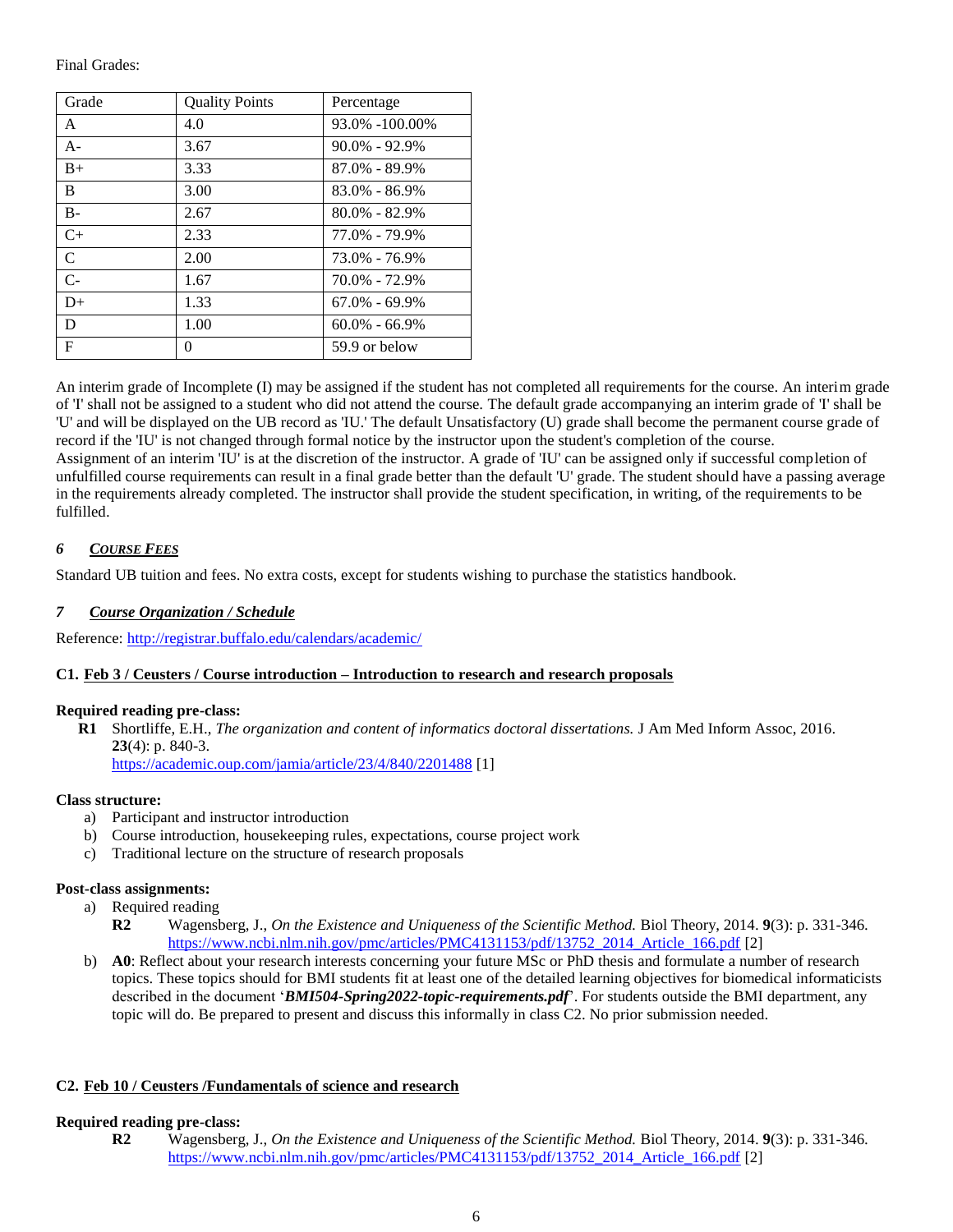Final Grades:

| Grade         | <b>Quality Points</b> | Percentage        |
|---------------|-----------------------|-------------------|
| $\mathsf{A}$  | 4.0                   | 93.0% -100.00%    |
| $A-$          | 3.67                  | $90.0\% - 92.9\%$ |
| $B+$          | 3.33                  | $87.0\% - 89.9\%$ |
| B             | 3.00                  | $83.0\% - 86.9\%$ |
| $B -$         | 2.67                  | $80.0\% - 82.9\%$ |
| $C+$          | 2.33                  | 77.0% - 79.9%     |
| $\mathcal{C}$ | 2.00                  | 73.0% - 76.9%     |
| $C-$          | 1.67                  | 70.0% - 72.9%     |
| $D+$          | 1.33                  | $67.0\% - 69.9\%$ |
| D             | 1.00                  | $60.0\% - 66.9\%$ |
| $\mathbf F$   | $^{(1)}$              | 59.9 or below     |

An interim grade of Incomplete (I) may be assigned if the student has not completed all requirements for the course. An interim grade of 'I' shall not be assigned to a student who did not attend the course. The default grade accompanying an interim grade of 'I' shall be 'U' and will be displayed on the UB record as 'IU.' The default Unsatisfactory (U) grade shall become the permanent course grade of record if the 'IU' is not changed through formal notice by the instructor upon the student's completion of the course. Assignment of an interim 'IU' is at the discretion of the instructor. A grade of 'IU' can be assigned only if successful completion of unfulfilled course requirements can result in a final grade better than the default 'U' grade. The student should have a passing average in the requirements already completed. The instructor shall provide the student specification, in writing, of the requirements to be fulfilled.

# <span id="page-5-0"></span>*6 COURSE FEES*

<span id="page-5-1"></span>Standard UB tuition and fees. No extra costs, except for students wishing to purchase the statistics handbook.

# *7 Course Organization / Schedule*

Reference:<http://registrar.buffalo.edu/calendars/academic/>

## <span id="page-5-2"></span>**C1. Feb 3 / Ceusters / Course introduction – Introduction to research and research proposals**

#### **Required reading pre-class:**

**R1** Shortliffe, E.H., *The organization and content of informatics doctoral dissertations.* J Am Med Inform Assoc, 2016. **23**(4): p. 840-3. <https://academic.oup.com/jamia/article/23/4/840/2201488> [1]

**Class structure:** 

- a) Participant and instructor introduction
- b) Course introduction, housekeeping rules, expectations, course project work
- c) Traditional lecture on the structure of research proposals

### **Post-class assignments:**

- a) Required reading
	- **R2** Wagensberg, J., *On the Existence and Uniqueness of the Scientific Method.* Biol Theory, 2014. **9**(3): p. 331-346. [https://www.ncbi.nlm.nih.gov/pmc/articles/PMC4131153/pdf/13752\\_2014\\_Article\\_166.pdf](https://www.ncbi.nlm.nih.gov/pmc/articles/PMC4131153/pdf/13752_2014_Article_166.pdf) [2]
- b) **A0**: Reflect about your research interests concerning your future MSc or PhD thesis and formulate a number of research topics. These topics should for BMI students fit at least one of the detailed learning objectives for biomedical informaticists described in the document '*BMI504-Spring2022-topic-requirements.pdf*'. For students outside the BMI department, any topic will do. Be prepared to present and discuss this informally in class C2. No prior submission needed.

## <span id="page-5-3"></span>**C2. Feb 10 / Ceusters /Fundamentals of science and research**

#### **Required reading pre-class:**

**R2** Wagensberg, J., *On the Existence and Uniqueness of the Scientific Method.* Biol Theory, 2014. **9**(3): p. 331-346. [https://www.ncbi.nlm.nih.gov/pmc/articles/PMC4131153/pdf/13752\\_2014\\_Article\\_166.pdf](https://www.ncbi.nlm.nih.gov/pmc/articles/PMC4131153/pdf/13752_2014_Article_166.pdf) [2]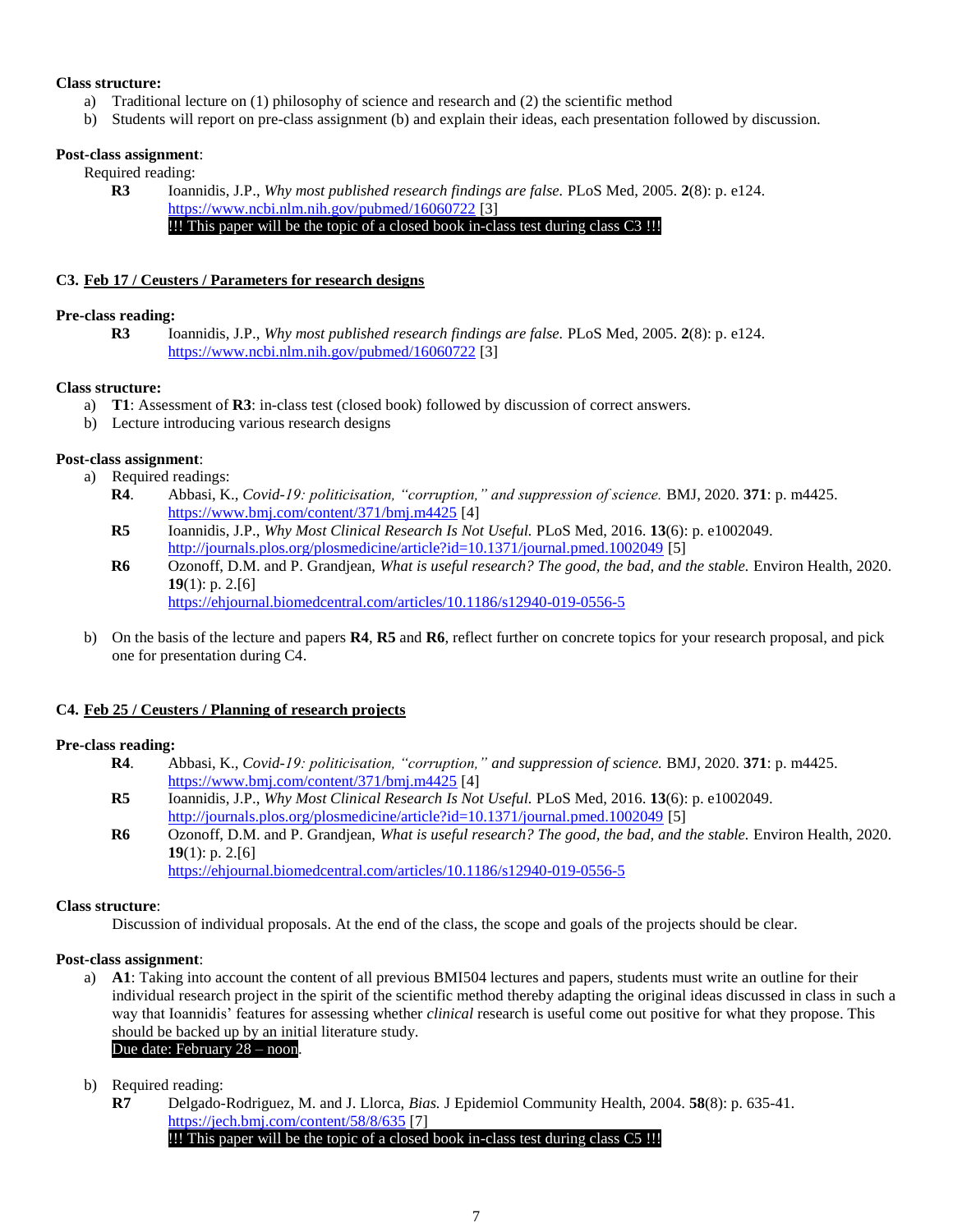### **Class structure:**

- a) Traditional lecture on (1) philosophy of science and research and (2) the scientific method
- b) Students will report on pre-class assignment (b) and explain their ideas, each presentation followed by discussion.

### **Post-class assignment**:

Required reading:

**R3** Ioannidis, J.P., *Why most published research findings are false.* PLoS Med, 2005. **2**(8): p. e124. <https://www.ncbi.nlm.nih.gov/pubmed/16060722> [3] !!! This paper will be the topic of a closed book in-class test during class C3 !!!

## <span id="page-6-0"></span>**C3. Feb 17 / Ceusters / Parameters for research designs**

### **Pre-class reading:**

**R3** Ioannidis, J.P., *Why most published research findings are false.* PLoS Med, 2005. **2**(8): p. e124. <https://www.ncbi.nlm.nih.gov/pubmed/16060722> [3]

### **Class structure:**

- a) **T1**: Assessment of **R3**: in-class test (closed book) followed by discussion of correct answers.
- b) Lecture introducing various research designs

### **Post-class assignment**:

- a) Required readings:
	- **R4**. Abbasi, K., *Covid-19: politicisation, "corruption," and suppression of science.* BMJ, 2020. **371**: p. m4425. <https://www.bmj.com/content/371/bmj.m4425> [4]
	- **R5** Ioannidis, J.P., *Why Most Clinical Research Is Not Useful.* PLoS Med, 2016. **13**(6): p. e1002049. <http://journals.plos.org/plosmedicine/article?id=10.1371/journal.pmed.1002049> [5]
	- **R6** Ozonoff, D.M. and P. Grandjean, *What is useful research? The good, the bad, and the stable.* Environ Health, 2020. **19**(1): p. 2.[6] <https://ehjournal.biomedcentral.com/articles/10.1186/s12940-019-0556-5>
- b) On the basis of the lecture and papers **R4**, **R5** and **R6**, reflect further on concrete topics for your research proposal, and pick one for presentation during C4.

## <span id="page-6-1"></span>**C4. Feb 25 / Ceusters / Planning of research projects**

## **Pre-class reading:**

- **R4**. Abbasi, K., *Covid-19: politicisation, "corruption," and suppression of science.* BMJ, 2020. **371**: p. m4425. <https://www.bmj.com/content/371/bmj.m4425> [4]
- **R5** Ioannidis, J.P., *Why Most Clinical Research Is Not Useful.* PLoS Med, 2016. **13**(6): p. e1002049. <http://journals.plos.org/plosmedicine/article?id=10.1371/journal.pmed.1002049> [5]
- **R6** Ozonoff, D.M. and P. Grandjean, *What is useful research? The good, the bad, and the stable.* Environ Health, 2020. **19**(1): p. 2.[6]

<https://ehjournal.biomedcentral.com/articles/10.1186/s12940-019-0556-5>

#### **Class structure**:

Discussion of individual proposals. At the end of the class, the scope and goals of the projects should be clear.

## **Post-class assignment**:

a) **A1**: Taking into account the content of all previous BMI504 lectures and papers, students must write an outline for their individual research project in the spirit of the scientific method thereby adapting the original ideas discussed in class in such a way that Ioannidis' features for assessing whether *clinical* research is useful come out positive for what they propose. This should be backed up by an initial literature study.

### Due date: February 28 – noon.

# b) Required reading:

**R7** Delgado-Rodriguez, M. and J. Llorca, *Bias.* J Epidemiol Community Health, 2004. **58**(8): p. 635-41. <https://jech.bmj.com/content/58/8/635> [7] !!! This paper will be the topic of a closed book in-class test during class C5 !!!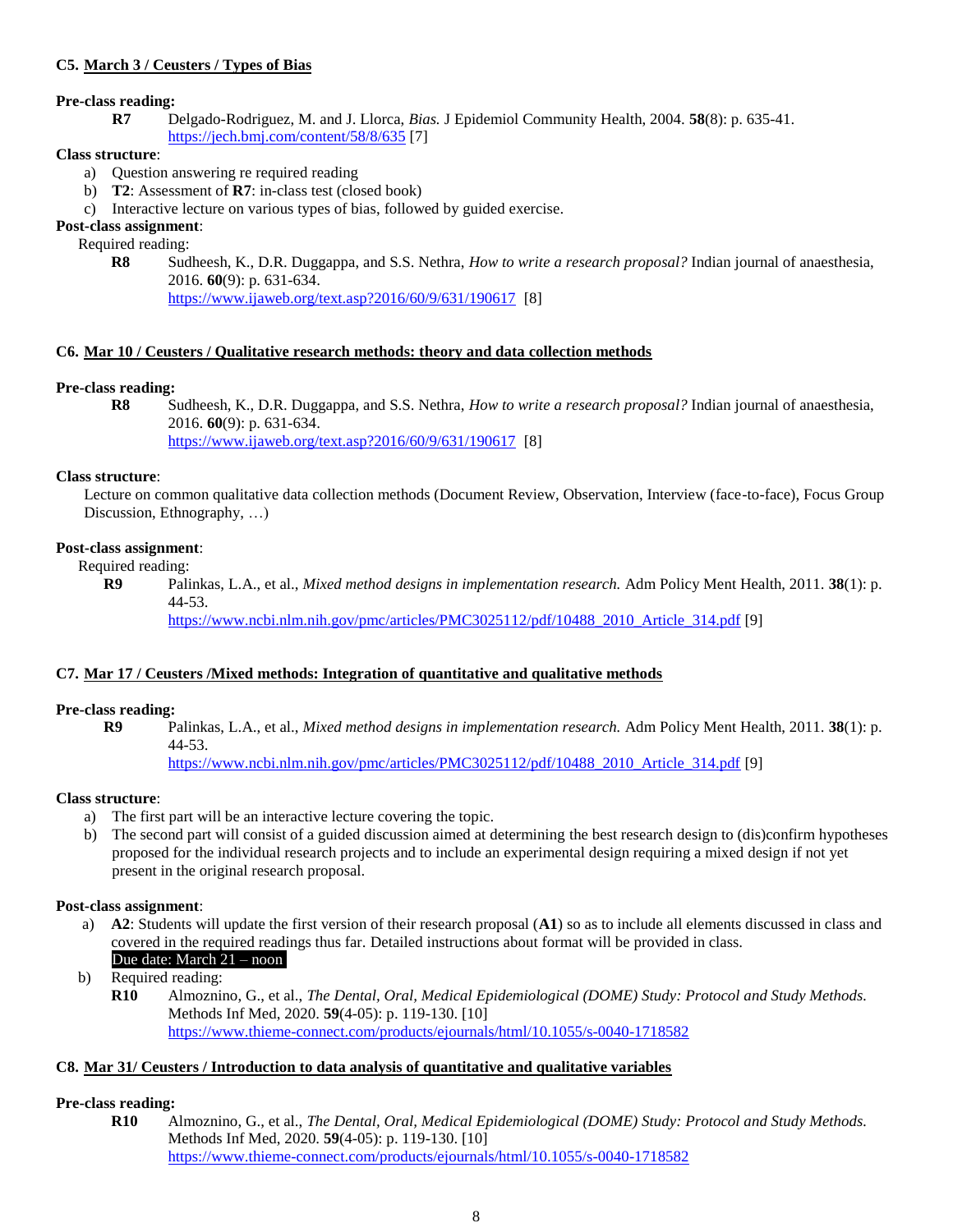# <span id="page-7-0"></span>**C5. March 3 / Ceusters / Types of Bias**

### **Pre-class reading:**

**R7** Delgado-Rodriguez, M. and J. Llorca, *Bias.* J Epidemiol Community Health, 2004. **58**(8): p. 635-41. <https://jech.bmj.com/content/58/8/635> [7]

### **Class structure**:

- a) Question answering re required reading
- b) **T2**: Assessment of **R7**: in-class test (closed book)
- c) Interactive lecture on various types of bias, followed by guided exercise.

# **Post-class assignment**:

## Required reading:

**R8** Sudheesh, K., D.R. Duggappa, and S.S. Nethra, *How to write a research proposal?* Indian journal of anaesthesia, 2016. **60**(9): p. 631-634.

<https://www.ijaweb.org/text.asp?2016/60/9/631/190617>[8]

### <span id="page-7-1"></span>**C6. Mar 10 / Ceusters / Qualitative research methods: theory and data collection methods**

### **Pre-class reading:**

**R8** Sudheesh, K., D.R. Duggappa, and S.S. Nethra, *How to write a research proposal?* Indian journal of anaesthesia, 2016. **60**(9): p. 631-634.

<https://www.ijaweb.org/text.asp?2016/60/9/631/190617>[8]

#### **Class structure**:

Lecture on common qualitative data collection methods (Document Review, Observation, Interview (face-to-face), Focus Group Discussion, Ethnography, …)

# **Post-class assignment**:

Required reading:

 **R9** Palinkas, L.A., et al., *Mixed method designs in implementation research.* Adm Policy Ment Health, 2011. **38**(1): p. 44-53.

[https://www.ncbi.nlm.nih.gov/pmc/articles/PMC3025112/pdf/10488\\_2010\\_Article\\_314.pdf](https://www.ncbi.nlm.nih.gov/pmc/articles/PMC3025112/pdf/10488_2010_Article_314.pdf) [9]

## <span id="page-7-2"></span>**C7. Mar 17 / Ceusters /Mixed methods: Integration of quantitative and qualitative methods**

## **Pre-class reading:**

 **R9** Palinkas, L.A., et al., *Mixed method designs in implementation research.* Adm Policy Ment Health, 2011. **38**(1): p. 44-53.

[https://www.ncbi.nlm.nih.gov/pmc/articles/PMC3025112/pdf/10488\\_2010\\_Article\\_314.pdf](https://www.ncbi.nlm.nih.gov/pmc/articles/PMC3025112/pdf/10488_2010_Article_314.pdf) [9]

## **Class structure**:

- a) The first part will be an interactive lecture covering the topic.
- b) The second part will consist of a guided discussion aimed at determining the best research design to (dis)confirm hypotheses proposed for the individual research projects and to include an experimental design requiring a mixed design if not yet present in the original research proposal.

## **Post-class assignment**:

- a) **A2**: Students will update the first version of their research proposal (**A1**) so as to include all elements discussed in class and covered in the required readings thus far. Detailed instructions about format will be provided in class. Due date: March  $\overline{21}$  – noon.
- b) Required reading:
	- **R10** Almoznino, G., et al., *The Dental, Oral, Medical Epidemiological (DOME) Study: Protocol and Study Methods.* Methods Inf Med, 2020. **59**(4-05): p. 119-130. [10] <https://www.thieme-connect.com/products/ejournals/html/10.1055/s-0040-1718582>

## <span id="page-7-3"></span>**C8. Mar 31/ Ceusters / Introduction to data analysis of quantitative and qualitative variables**

## **Pre-class reading:**

**R10** Almoznino, G., et al., *The Dental, Oral, Medical Epidemiological (DOME) Study: Protocol and Study Methods.* Methods Inf Med, 2020. **59**(4-05): p. 119-130. [10] <https://www.thieme-connect.com/products/ejournals/html/10.1055/s-0040-1718582>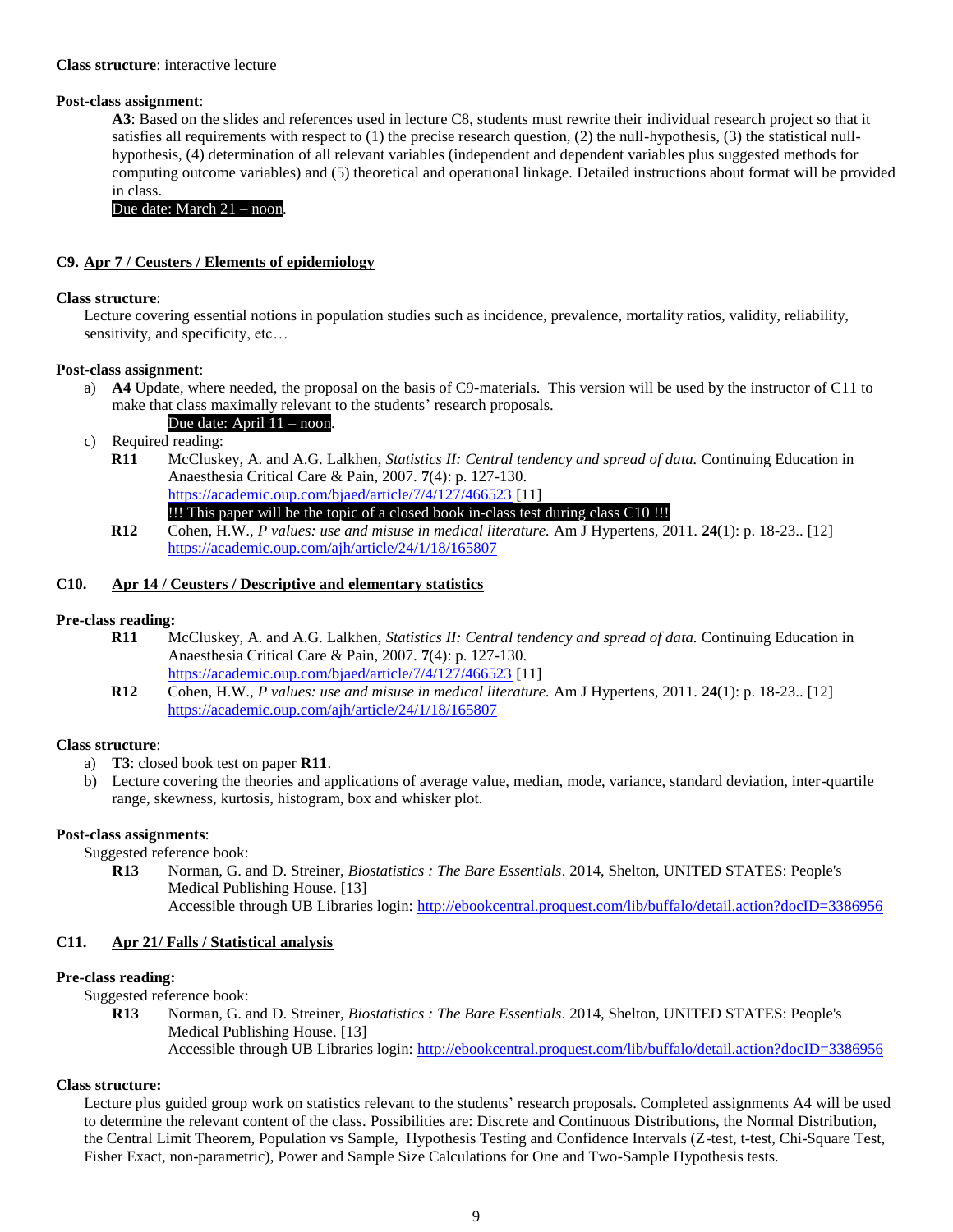#### **Class structure**: interactive lecture

### **Post-class assignment**:

**A3**: Based on the slides and references used in lecture C8, students must rewrite their individual research project so that it satisfies all requirements with respect to (1) the precise research question, (2) the null-hypothesis, (3) the statistical nullhypothesis, (4) determination of all relevant variables (independent and dependent variables plus suggested methods for computing outcome variables) and (5) theoretical and operational linkage. Detailed instructions about format will be provided in class.

Due date: March 21 – noon.

### <span id="page-8-0"></span>**C9. Apr 7 / Ceusters / Elements of epidemiology**

#### **Class structure**:

Lecture covering essential notions in population studies such as incidence, prevalence, mortality ratios, validity, reliability, sensitivity, and specificity, etc...

### **Post-class assignment**:

a) **A4** Update, where needed, the proposal on the basis of C9-materials. This version will be used by the instructor of C11 to make that class maximally relevant to the students' research proposals. Due date: April 11 – noon.

c) Required reading:

- **R11** McCluskey, A. and A.G. Lalkhen, *Statistics II: Central tendency and spread of data.* Continuing Education in Anaesthesia Critical Care & Pain, 2007. **7**(4): p. 127-130. <https://academic.oup.com/bjaed/article/7/4/127/466523> [11]
- !!! This paper will be the topic of a closed book in-class test during class C10 !!! **R12** Cohen, H.W., *P values: use and misuse in medical literature.* Am J Hypertens, 2011. **24**(1): p. 18-23.. [12] <https://academic.oup.com/ajh/article/24/1/18/165807>

### <span id="page-8-1"></span>**C10. Apr 14 / Ceusters / Descriptive and elementary statistics**

#### **Pre-class reading:**

- **R11** McCluskey, A. and A.G. Lalkhen, *Statistics II: Central tendency and spread of data.* Continuing Education in Anaesthesia Critical Care & Pain, 2007. **7**(4): p. 127-130. <https://academic.oup.com/bjaed/article/7/4/127/466523> [11]
- **R12** Cohen, H.W., *P values: use and misuse in medical literature.* Am J Hypertens, 2011. **24**(1): p. 18-23.. [12] <https://academic.oup.com/ajh/article/24/1/18/165807>

## **Class structure**:

- a) **T3**: closed book test on paper **R11**.
- b) Lecture covering the theories and applications of average value, median, mode, variance, standard deviation, inter-quartile range, skewness, kurtosis, histogram, box and whisker plot.

#### **Post-class assignments**:

Suggested reference book:

**R13** Norman, G. and D. Streiner, *Biostatistics : The Bare Essentials*. 2014, Shelton, UNITED STATES: People's Medical Publishing House. [13] Accessible through UB Libraries login:<http://ebookcentral.proquest.com/lib/buffalo/detail.action?docID=3386956>

## <span id="page-8-2"></span>**C11. Apr 21/ Falls / Statistical analysis**

## **Pre-class reading:**

Suggested reference book:

**R13** Norman, G. and D. Streiner, *Biostatistics : The Bare Essentials*. 2014, Shelton, UNITED STATES: People's Medical Publishing House. [13] Accessible through UB Libraries login:<http://ebookcentral.proquest.com/lib/buffalo/detail.action?docID=3386956>

### **Class structure:**

Lecture plus guided group work on statistics relevant to the students' research proposals. Completed assignments A4 will be used to determine the relevant content of the class. Possibilities are: Discrete and Continuous Distributions, the Normal Distribution, the Central Limit Theorem, Population vs Sample, Hypothesis Testing and Confidence Intervals (Z-test, t-test, Chi-Square Test, Fisher Exact, non-parametric), Power and Sample Size Calculations for One and Two-Sample Hypothesis tests.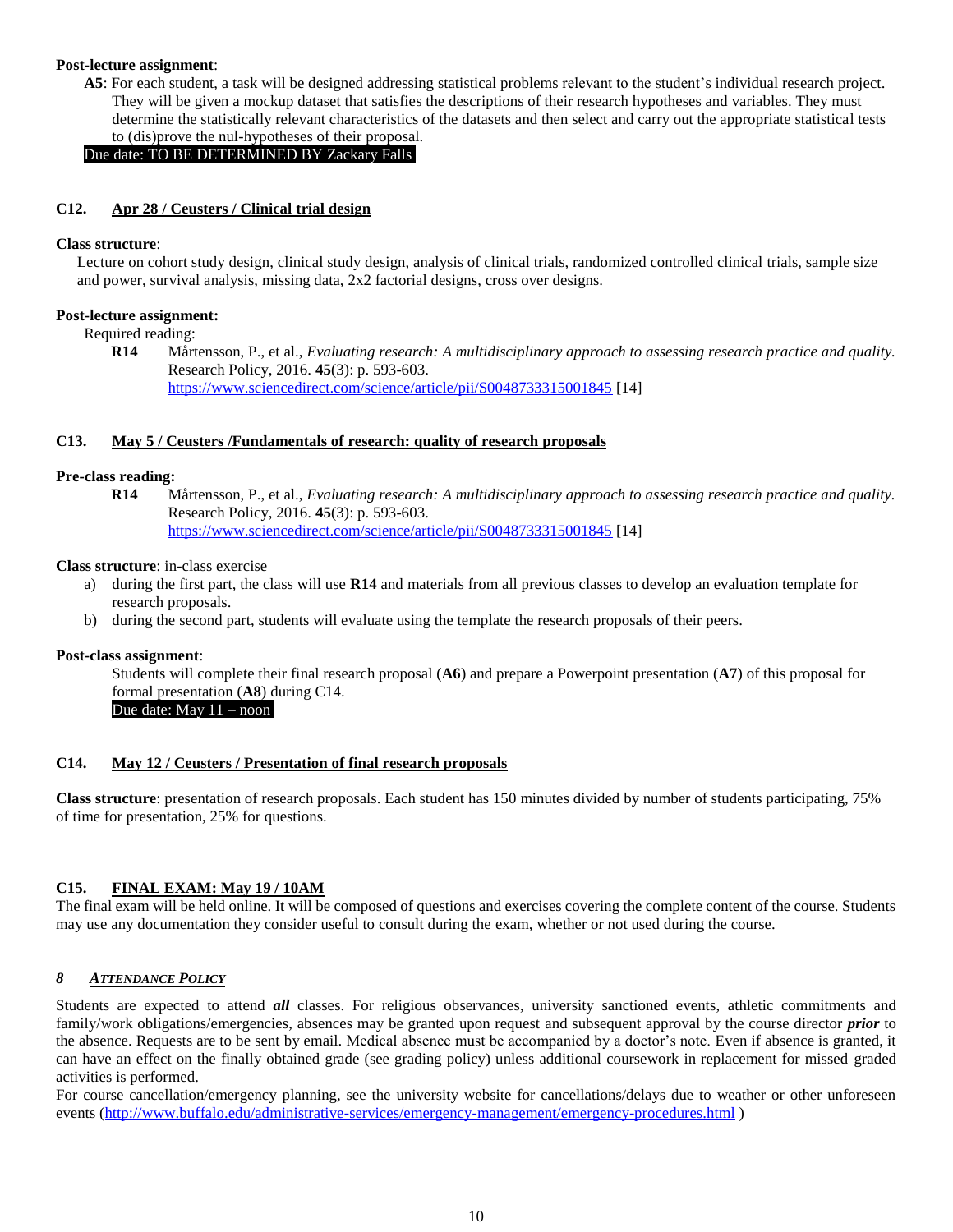#### **Post-lecture assignment**:

**A5**: For each student, a task will be designed addressing statistical problems relevant to the student's individual research project. They will be given a mockup dataset that satisfies the descriptions of their research hypotheses and variables. They must determine the statistically relevant characteristics of the datasets and then select and carry out the appropriate statistical tests to (dis)prove the nul-hypotheses of their proposal.

Due date: TO BE DETERMINED BY Zackary Falls.

### <span id="page-9-0"></span>**C12. Apr 28 / Ceusters / Clinical trial design**

#### **Class structure**:

Lecture on cohort study design, clinical study design, analysis of clinical trials, randomized controlled clinical trials, sample size and power, survival analysis, missing data, 2x2 factorial designs, cross over designs.

#### **Post-lecture assignment:**

Required reading:

**R14** Mårtensson, P., et al., *Evaluating research: A multidisciplinary approach to assessing research practice and quality.* Research Policy, 2016. **45**(3): p. 593-603. <https://www.sciencedirect.com/science/article/pii/S0048733315001845> [14]

### <span id="page-9-1"></span>**C13. May 5 / Ceusters /Fundamentals of research: quality of research proposals**

### **Pre-class reading:**

**R14** Mårtensson, P., et al., *Evaluating research: A multidisciplinary approach to assessing research practice and quality.* Research Policy, 2016. **45**(3): p. 593-603. <https://www.sciencedirect.com/science/article/pii/S0048733315001845> [14]

#### **Class structure**: in-class exercise

- a) during the first part, the class will use **R14** and materials from all previous classes to develop an evaluation template for research proposals.
- b) during the second part, students will evaluate using the template the research proposals of their peers.

#### **Post-class assignment**:

Students will complete their final research proposal (**A6**) and prepare a Powerpoint presentation (**A7**) of this proposal for formal presentation (**A8**) during C14.

Due date: May  $11 -$  noon.

### <span id="page-9-2"></span>**C14. May 12 / Ceusters / Presentation of final research proposals**

**Class structure**: presentation of research proposals. Each student has 150 minutes divided by number of students participating, 75% of time for presentation, 25% for questions.

# <span id="page-9-3"></span>**C15. FINAL EXAM: May 19 / 10AM**

The final exam will be held online. It will be composed of questions and exercises covering the complete content of the course. Students may use any documentation they consider useful to consult during the exam, whether or not used during the course.

#### <span id="page-9-4"></span>*8 ATTENDANCE POLICY*

Students are expected to attend *all* classes. For religious observances, university sanctioned events, athletic commitments and family/work obligations/emergencies, absences may be granted upon request and subsequent approval by the course director *prior* to the absence. Requests are to be sent by email. Medical absence must be accompanied by a doctor's note. Even if absence is granted, it can have an effect on the finally obtained grade (see grading policy) unless additional coursework in replacement for missed graded activities is performed.

For course cancellation/emergency planning, see the university website for cancellations/delays due to weather or other unforeseen events [\(http://www.buffalo.edu/administrative-services/emergency-management/emergency-procedures.html](http://www.buffalo.edu/administrative-services/emergency-management/emergency-procedures.html) )